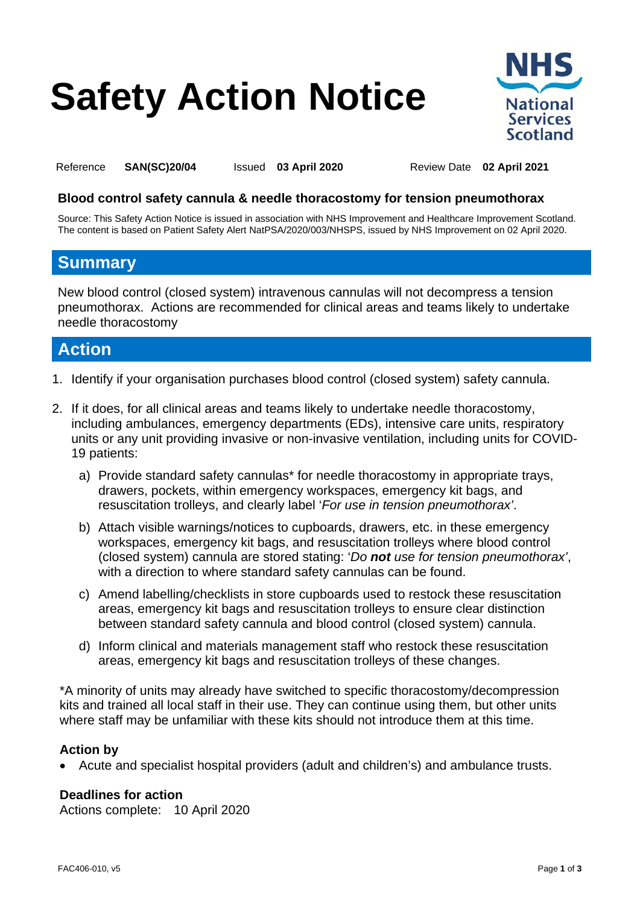# **Safety Action Notice**



<span id="page-0-0"></span>Reference **SAN(SC)20/04** Issued **03 April 2020** Review Date **02 April 2021** 

<span id="page-0-2"></span><span id="page-0-1"></span>

#### **Blood control safety cannula & needle thoracostomy for tension pneumothorax**

Source: This Safety Action Notice is issued in association with NHS Improvement and Healthcare Improvement Scotland. The content is based on Patient Safety Alert NatPSA/2020/003/NHSPS, issued by NHS Improvement on 02 April 2020.

## **Summary**

New blood control (closed system) intravenous cannulas will not decompress a tension pneumothorax. Actions are recommended for clinical areas and teams likely to undertake needle thoracostomy

## **Action**

- 1. Identify if your organisation purchases blood control (closed system) safety cannula.
- 2. If it does, for all clinical areas and teams likely to undertake needle thoracostomy, including ambulances, emergency departments (EDs), intensive care units, respiratory units or any unit providing invasive or non-invasive ventilation, including units for COVID-19 patients:
	- a) Provide standard safety cannulas<sup>\*</sup> for needle thoracostomy in appropriate trays, drawers, pockets, within emergency workspaces, emergency kit bags, and resuscitation trolleys, and clearly label '*For use in tension pneumothorax'*.
	- (closed system) cannula are stored stating: '*Do not use for tension pneumothorax'*, b) Attach visible warnings/notices to cupboards, drawers, etc. in these emergency workspaces, emergency kit bags, and resuscitation trolleys where blood control with a direction to where standard safety cannulas can be found.
	- c) Amend labelling/checklists in store cupboards used to restock these resuscitation areas, emergency kit bags and resuscitation trolleys to ensure clear distinction between standard safety cannula and blood control (closed system) cannula.
	- d) Inform clinical and materials management staff who restock these resuscitation areas, emergency kit bags and resuscitation trolleys of these changes.

\*A minority of units may already have switched to specific thoracostomy/decompression kits and trained all local staff in their use. They can continue using them, but other units where staff may be unfamiliar with these kits should not introduce them at this time.

#### **Action by**

• Acute and specialist hospital providers (adult and children's) and ambulance trusts.

#### **Deadlines for action**

Actions complete: 10 April 2020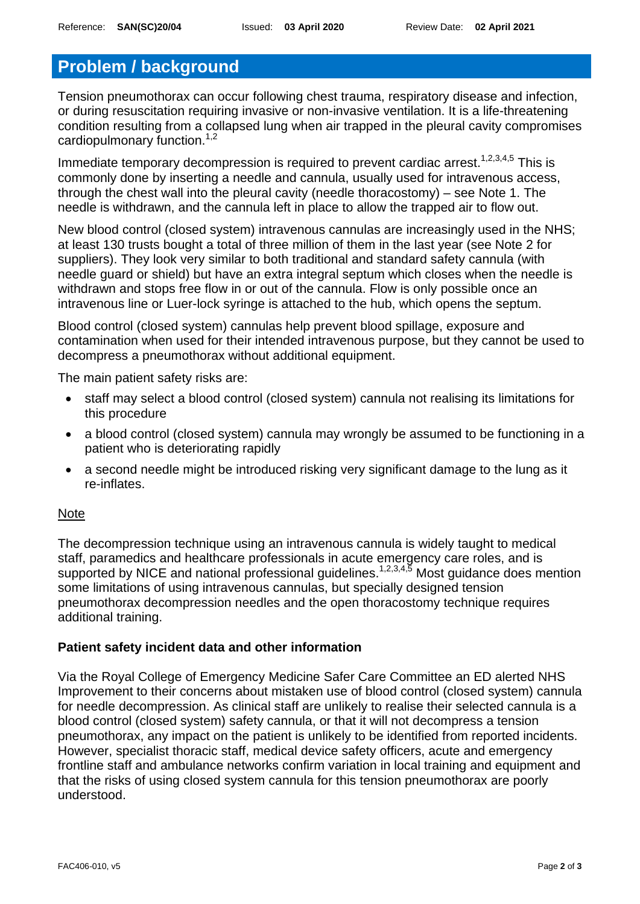# **Problem / background**

Tension pneumothorax can occur following chest trauma, respiratory disease and infection, or during resuscitation requiring invasive or non-invasive ventilation. It is a life-threatening condition resulting from a collapsed lung when air trapped in the pleural cavity compromises cardiopulmonary function.<sup>1,2</sup>

Immediate temporary decompression is required to prevent cardiac arrest.<sup>1,2,3,4,5</sup> This is commonly done by inserting a needle and cannula, usually used for intravenous access, through the chest wall into the pleural cavity (needle thoracostomy) – see Note 1. The needle is withdrawn, and the cannula left in place to allow the trapped air to flow out.

New blood control (closed system) intravenous cannulas are increasingly used in the NHS; at least 130 trusts bought a total of three million of them in the last year (see Note 2 for suppliers). They look very similar to both traditional and standard safety cannula (with needle guard or shield) but have an extra integral septum which closes when the needle is withdrawn and stops free flow in or out of the cannula. Flow is only possible once an intravenous line or Luer-lock syringe is attached to the hub, which opens the septum.

Blood control (closed system) cannulas help prevent blood spillage, exposure and contamination when used for their intended intravenous purpose, but they cannot be used to decompress a pneumothorax without additional equipment.

The main patient safety risks are:

- staff may select a blood control (closed system) cannula not realising its limitations for this procedure
- a blood control (closed system) cannula may wrongly be assumed to be functioning in a patient who is deteriorating rapidly
- a second needle might be introduced risking very significant damage to the lung as it re-inflates.

#### Note

The decompression technique using an intravenous cannula is widely taught to medical staff, paramedics and healthcare professionals in acute emergency care roles, and is supported by NICE and national professional quidelines.<sup>1,2,3,4,5</sup> Most quidance does mention some limitations of using intravenous cannulas, but specially designed tension pneumothorax decompression needles and the open thoracostomy technique requires additional training.

#### **Patient safety incident data and other information**

 blood control (closed system) safety cannula, or that it will not decompress a tension Via the Royal College of Emergency Medicine Safer Care Committee an ED alerted NHS Improvement to their concerns about mistaken use of blood control (closed system) cannula for needle decompression. As clinical staff are unlikely to realise their selected cannula is a pneumothorax, any impact on the patient is unlikely to be identified from reported incidents. However, specialist thoracic staff, medical device safety officers, acute and emergency frontline staff and ambulance networks confirm variation in local training and equipment and that the risks of using closed system cannula for this tension pneumothorax are poorly understood.